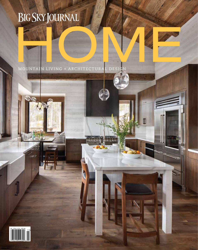MOUNTAIN LIVING + ARCHITECTURAL DESIGN Mountain Living + Architectural Design

 $\mathbb{I}$ 

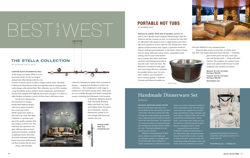first-rate additions to any mountain home. Diamond Spas creates several lines of custom stainless steel- and copper-fabricated pools and spas — including

> glass-walled pools and spas, swim spas, and cold therapy pools — along with water features. The company also creates luxury indoor and outdoor bath fixtures for both residential and commercial markets.

Monarch: 86 x 86 x 39 inches Starting at \$26,500 Crestone: 90 x 90 x 39 inches Starting at \$28,500 diamondspas.com

by hammerton Studio

### Lighting plays an essential role

in the design of a home. While it serves functional needs, it's also an integral element that either blends with the over-

all style of interior spaces or adds a unique stylistic mark. The Stella Collection by Hammerton Studio accomplishes both by merging minimalist design with celestial flair. This collection, new for 2021, includes a ring chandelier, sconce, pendant, linear suspension, and multi-port fixtures that integrate LED lighting and artisan cast glass in a choice of eight finishes, including a variety of silver, brass, and bronze tones.

For 25 years, Hammerton has specialized in unique, handcrafted lighting designs, with every aspect of production occurring in their 50,000-square-foot studio in Salt Lake City, Utah. The Stella Collection is a perfect example of the quality creations that the company is known for. The collection uses geometric cast glass diffusers that are handmade piece-by-piece, resulting in lighting fixtures that make an artistic statement, radiating beams from each multi-faceted orb that twinkles like the stars.

Along with the Stella



Bozeman, Montana-based potter Marianne Robilotta cares about the sustainability of her community, and that's a big reason why the ceramics she sells through her studio Basiclai (pronounced bay-si-clay) are produced with the gentle care of her own two hands. "It's important to be aware of where our material goods are coming from and how they're made," she says. "Buying handmade or local should not be a luxury."

Robilotta founded Basiclai in 2017 with a mission to create high-quality utilitarian pottery in a simple, clean, and refined style that could just as easily complement a traditional or rustic





**CRESTONE** 

home as it could a mountain modern or ultra-contemporary one. The five-piece dinnerware set is glazed with neutral tones and features a large, medium, and small plate, a medium bowl, and a small mug that are all dishwasher-, microwave-, and freezer-safe. Order just two settings for a small household or guest house, or enough to feed a crowd.

Along with the sets, Basiclai produces a number of other pieces in the same clean style, including cheese stones, French butter crocks, a variety of mugs and bowls, utensil crocks, and honey pots, along with lamps, vases, dog bowls, and more. Robilotta is currently



# Handmade Dinnerware Set

Collection, Hammerton Studio offers a number of designs — ranging from Bamboo to Urban Loft collections — that complement a wide range of architecture and interior design styles. Their products are available through local dealers around the country, including Earth Elements, with locations

> in Bozeman, Montana; Jackson Hole, Wyoming; Ketchum, Idaho; and Park City, Utah; and Gallatin Valley Furniture also in Bozeman. Visit the Hammerton website to see more design collections and vendors near you.

Indulge in luxury with one of several portable hot tubs by the Colorado-based company Diamond Spas. Both the Monarch and the Crestone are four- to six-person hot tubs that are fabricated with stainless-steel or copper frames and removable access panels on all four sides for easy maintenance. Panel options include stainless steel, copper, a panel-free model for drop-in underground installation, or the client's choice of materials for siding. Both spas feature 14 jets, comfortable bench

seating, and two-part water maintenance systems that utilize ultraviolet sanitizers and hydrogen peroxide to keep the water fresh and clean. The Monarch is certified for both appliance and energy efficiency standards for portable electric spas. For relaxation, comfort, and convenience not to mention quality — both the Crestone and Monarch models are

From \$154 per set | basiclai.com

## by diamond spas **portable hot tubs**

expanding her Bozeman studio and showroom, with plans to open to the public this fall.



# $BSESF3$

## **The Stella collection**

## *by Basiclai*

Starting at \$995 Sizes vary hammerton.com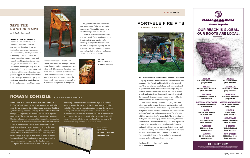**50 Big Sky Journal HOME 51**

Perched on a black iron base, the rowan console by Epoch West Furniture in Bozeman, Montana, is handcrafted from flat-sawn oak and finished in a gentle white tone that highlights the beauty of the wood grain patterns. And if that weren't enough, upon opening the console doors you'll find a pleasant surprise: The interior is finished in a translucent sapphire blue that enhances the character of the wood, while also adding a dramatic touch. The interior shelves are adjustable and each of the three doors features custom inlaid iron hardware. The sleek design, along with the contrasting colors of the whitewashed wood and black iron, gives the Rowan a contemporary feel that's perfect for a mountain modern home, yet it's classic enough to fit right in with more traditional interiors. Like most Epoch West creations, this console can be built to custom dimensions or ordered at the standard size.

Epoch West was founded in 2009 with the goal of

WORKING FROM HIS STUDIO in Montana's Paradise Valley, near Yellowstone National Park and just south of the colorful town of Livingston, master furniture maker and woodcarver J. Bradley Greenwood uses honey locust, elm, white oak, pistachio, mulberry, eucalyptus, and walnut wood to produce the Save the Ranger Yellowstone National Park Mechanical Shooting Gallery. This is a one-of-a-kind moving target game and a limited-edition work of art that incorporates copper-leaf inlay, recycled steel, hand carvings, restored vintage game parts, and an original painted design by the maker's son, Jesse Greenwood.



translating Montana's natural beauty into high-quality furniture that stands the test of time. With everything from beds and office furniture to entertainment centers and dining tables — along with custom designed pieces — most of their products feature locally sourced materials and iron or hand-carved wood accents. Each piece is handcrafted by a team that's led by owners Marc and Clarice Lien, who have been working in the furniture industry for more than three decades.

*by J. Bradley Greenwood*

# **Save the Ranger Game**

— the game features bear silhouettes and a panoramic full-color scene of a park ranger (the goal for players is to save the ranger from the bears).

With 35 years of experience working with wood, Greenwood takes pride in authenticity and quality craftsmanship. Along with other ornamental mechanical games, lighting, furniture, and custom creations, his works add vintage flair to interiors and are as

durable as they are exquisite.

portable fire pits

We love the spirit in which the cowboy cauldron Company was born. Soon after owner Mike Bertelsen built a cauldron-like fire pit for himself, his brother wanted one. Then his neighbor wanted one, and word continued to spread from there. And it's easy to see why: They are versatile and functional; they add an intimate, cozy feel to backyard gatherings; they provide warmth to extend the outdoor living season; and you can even build a fire underneath and use them as cooking vessels.

Bertelsen's Cowboy Cauldron Company has come a long way, and they now feature a variety of sizes and options, including The Ranch Boss, a top-of-the-line model that graces resorts, ranches, and backyards worldwide and is the perfect choice for larger gatherings; The Wrangler, which is a good option for home chefs; The Urban Cowboy that's great for warming up smaller backyard gatherings; and Bertelsen's most recent creation, The Dude, a portable version of his original fire pit, weighing only 35 pounds and made with segmented legs to easily fit into the trunk of a car for camping trips or beachside picnics. Each model comes with a cauldron basin, tripod frame, hook and chain assembly (allowing for basin height adjustment), charcoal grate, cooking grill, and rain cover.

Starting at \$999 | Sizes vary by model cowboycauldron.com

# ROWAN CONSOLE BY EPOCH WEST FURNITURE

by Cowboy Cauldron





Price available upon request 60 x 18 x 32.25 inches epochwest.com

## **BEST** of the **WEST**



**BERKSHIRE HATHAWAY** Homa Services **Montana Properties** 

## **OUR REACH IS GLOBAL. OUR ROOTS ARE LOCAL.**

**BIGFORK** 425 Grand Drive, Suite B (406) 837.1800

**BIG SKY** 55 Lone Peak Dr, Suite 3 (406) 995.4060

**BOZEMAN** 2001 Stadium Dr, Suite A (406) 586.7676

**BOZEMAN DOWNTOWN** 37 South Willson Avenue (406) 551.9606

**BUTTE** 1751 Harrison Avenue (406) 299.3980

**ENNIS** 101 E. Main Street (406) 682.5002

**FLORENCE** 289 Rodeo Drive (406) 273.0910

**HAMILTON** 120 5th St., Suite 201 (406) 375.0166

**BHHSMT.COM** 

nes ante de adies produce e los vightos polo algoritmente de la estatunidad de la constitución de la constitución<br>En el constitución de la constitución de la constitución de la constitución de la constitución de la constit

**HELENA** 50 S. Park Avenue (406) 437.9493

**LIVINGSTON** 217 W Park St., Unit A (406) 222.5590

**MISSOULA** 1020 South Avenue W (406) 721.4141

**MISSOULA DOWNTOWN** 314 N. Higgins Avenue (406) 721.4141

> **POLSON** 201 1st Street (406) 883.3800

**SEELEY LAKE** 3166 MT Highway 83 (406) 677.6565

**SHERIDAN** 118 S. Main Street (406) 842.5650

**TWIN BRIDGES** 106 N. Main Street (406) 684.5686

\$25,000 20 x 30 x 55 inches bradgreenwood.com

Part of Greenwood's National Park Series, which features a range of smallscale shooting gallery games reminiscent of an early 20th-century style, this piece highlights the wonders of Yellowstone. With an intricately whittled carving of a grizzly bear mount serving as the focal point — and also as an example of Greenwood's impressive carving skills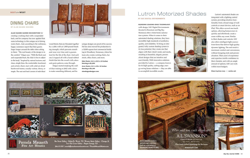## **BEST** of the **WEST**

## **by Al a n D a igre Designs** DINING CHAIRS

Alan Daigre gained recognition for creating a rocking chair with a suspended back, and his company has now applied that same technology to this unique set of dining room chairs. And, according to the craftsman, happy customers report that their guests linger longer around the table when sitting in them. "The real beauty of the design is in the comfort," Daigre says. "With the block seat and suspended back, the chair is free to adjust to the body." Inspired by natural textures and clean, simple lines, the comfortable, functional, and artistic chairs start with solid air-dried hardwood frames, usually walnut, cherry, or maple. The seat and back consist of individual



wood blocks that are threaded together by a cable with an 1,800-pound breaking strength, which prevents stretch and wear over time and is guaranteed for the life of the chair. And each one is topped off with a hand-rubbed finish that lets the wood's rich colors and grain patterns come through.

Daigre started studying the craft of chair making in 2002 with a drive to make something different, and his

unique designs are proof of his success. He has since moved his production to a 10,000-square-foot commercial building in Woodbury, Tennessee, where his team also creates rocking chairs, bar stools, office chairs, and more.

Side Chairs: 41.5 x 20.5 x 16 inches Starting at \$1,850 Arm Chairs: 41.5 x 28 x 16 inches Starting at \$2,100

alandaigredesigns.com



Pamela Mauseth Fine Art Mosaics

Bee Street Gallery - Dallas/Ft. Worth, TX | Woman Made Gallery - Chicago, IL<br>Two Old Crows Gallery - Pagosa Springs, CO 206.619.1039 | pamela@pamelamausethmosaics.com | PamelaMausethMosaics.com

# by SAV Digital Environments Lutron Motorized Shades

## Blending leading-edge technology

with design, SAV Digital Environments (located in Bozeman and Big Sky, Montana) offers whole-home automation systems. When it comes to their automated shading solutions, they have incredibly high standards of aesthetics, quality, and reliability. To bring an integrated, fully custom shading system to its true potential, they create one that aligns with their client's tastes and needs, resulting in beautiful, elegant, personalized designs that are intuitive and user-friendly. With innovative solutions provided by Lutron — a company known for its high-quality, cutting-edge, energy-saving home solutions — they are able to accomplish incredible results.



Lutron's automated shades are integrated with a lighting control system, providing intuitive functionality from a broad range of wall controls or smart devices, such as an iPad. This offers several one-touch options, allowing homeowners to quickly and effortlessly create a scene within any room. Similar to their shades and controls, SAV also offers intelligent light sources from Ketra that deliver high-quality dynamic lighting. The end result is maximum comfort and convenience, without foregoing style and personalization. Their years of experience and expertise instills confidence in their clientele, and with an ample amount of options, SAV can work within most budgets.

Sizes & prices vary | savinc.net